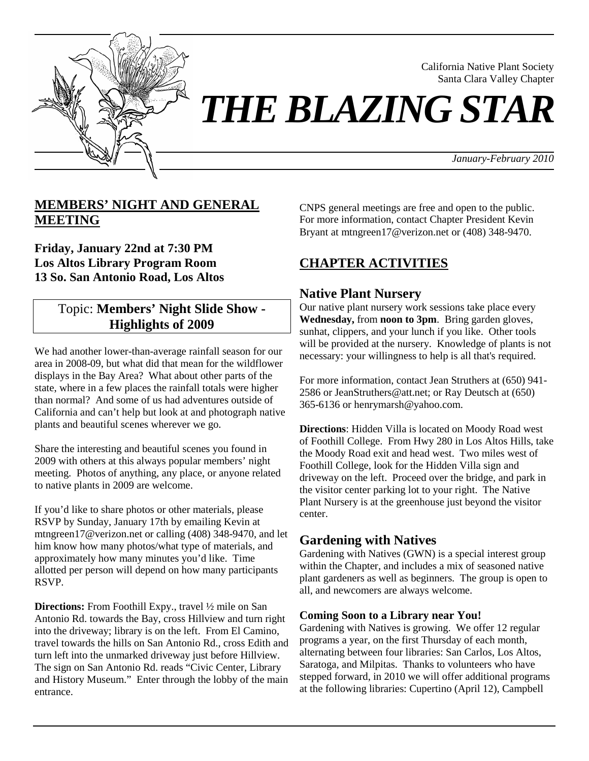

California Native Plant Society Santa Clara Valley Chapter

*THE BLAZING STAR* 

*January-February 2010*

# **MEMBERS' NIGHT AND GENERAL MEETING**

**Friday, January 22nd at 7:30 PM Los Altos Library Program Room 13 So. San Antonio Road, Los Altos**

# Topic: **Members' Night Slide Show - Highlights of 2009**

We had another lower-than-average rainfall season for our area in 2008-09, but what did that mean for the wildflower displays in the Bay Area? What about other parts of the state, where in a few places the rainfall totals were higher than normal? And some of us had adventures outside of California and can't help but look at and photograph native plants and beautiful scenes wherever we go.

Share the interesting and beautiful scenes you found in 2009 with others at this always popular members' night meeting. Photos of anything, any place, or anyone related to native plants in 2009 are welcome.

If you'd like to share photos or other materials, please RSVP by Sunday, January 17th by emailing Kevin at mtngreen17@verizon.net or calling (408) 348-9470, and let him know how many photos/what type of materials, and approximately how many minutes you'd like. Time allotted per person will depend on how many participants RSVP.

**Directions:** From Foothill Expy., travel ½ mile on San Antonio Rd. towards the Bay, cross Hillview and turn right into the driveway; library is on the left. From El Camino, travel towards the hills on San Antonio Rd., cross Edith and turn left into the unmarked driveway just before Hillview. The sign on San Antonio Rd. reads "Civic Center, Library and History Museum." Enter through the lobby of the main entrance.

CNPS general meetings are free and open to the public. For more information, contact Chapter President Kevin Bryant at mtngreen17@verizon.net or (408) 348-9470.

# **CHAPTER ACTIVITIES**

# **Native Plant Nursery**

Our native plant nursery work sessions take place every **Wednesday,** from **noon to 3pm**. Bring garden gloves, sunhat, clippers, and your lunch if you like. Other tools will be provided at the nursery. Knowledge of plants is not necessary: your willingness to help is all that's required.

For more information, contact Jean Struthers at (650) 941- 2586 or JeanStruthers@att.net; or Ray Deutsch at (650) 365-6136 or henrymarsh@yahoo.com.

**Directions**: Hidden Villa is located on Moody Road west of Foothill College. From Hwy 280 in Los Altos Hills, take the Moody Road exit and head west. Two miles west of Foothill College, look for the Hidden Villa sign and driveway on the left. Proceed over the bridge, and park in the visitor center parking lot to your right. The Native Plant Nursery is at the greenhouse just beyond the visitor center.

# **Gardening with Natives**

Gardening with Natives (GWN) is a special interest group within the Chapter, and includes a mix of seasoned native plant gardeners as well as beginners. The group is open to all, and newcomers are always welcome.

### **Coming Soon to a Library near You!**

Gardening with Natives is growing. We offer 12 regular programs a year, on the first Thursday of each month, alternating between four libraries: San Carlos, Los Altos, Saratoga, and Milpitas. Thanks to volunteers who have stepped forward, in 2010 we will offer additional programs at the following libraries: Cupertino (April 12), Campbell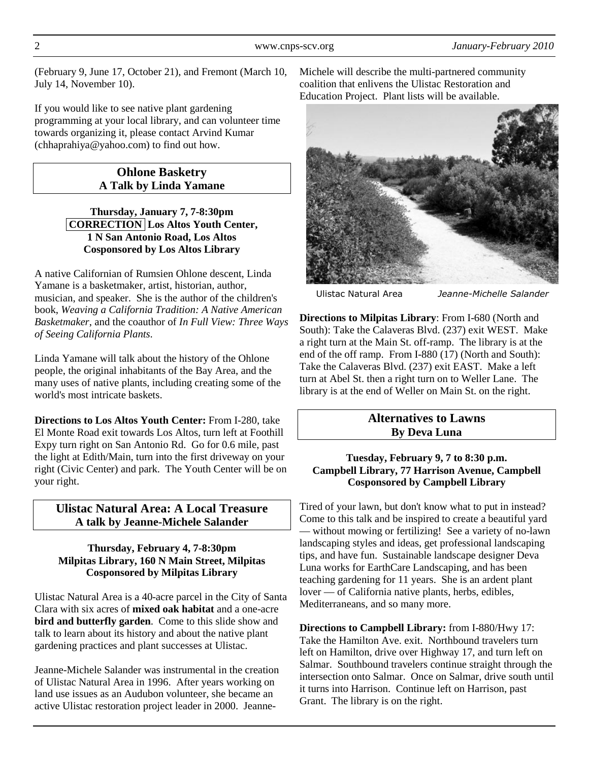(February 9, June 17, October 21), and Fremont (March 10, July 14, November 10).

If you would like to see native plant gardening programming at your local library, and can volunteer time towards organizing it, please contact Arvind Kumar (chhaprahiya@yahoo.com) to find out how.

#### **Ohlone Basketry A Talk by Linda Yamane**

#### **Thursday, January 7, 7-8:30pm CORRECTION Los Altos Youth Center, 1 N San Antonio Road, Los Altos Cosponsored by Los Altos Library**

A native Californian of Rumsien Ohlone descent, Linda Yamane is a basketmaker, artist, historian, author, musician, and speaker. She is the author of the children's book, *Weaving a California Tradition: A Native American Basketmaker*, and the coauthor of *In Full View: Three Ways of Seeing California Plants*.

Linda Yamane will talk about the history of the Ohlone people, the original inhabitants of the Bay Area, and the many uses of native plants, including creating some of the world's most intricate baskets.

**Directions to Los Altos Youth Center:** From I-280, take El Monte Road exit towards Los Altos, turn left at Foothill Expy turn right on San Antonio Rd. Go for 0.6 mile, past the light at Edith/Main, turn into the first driveway on your right (Civic Center) and park. The Youth Center will be on your right.

## **Ulistac Natural Area: A Local Treasure A talk by Jeanne-Michele Salander**

#### **Thursday, February 4, 7-8:30pm Milpitas Library, 160 N Main Street, Milpitas Cosponsored by Milpitas Library**

Ulistac Natural Area is a 40-acre parcel in the City of Santa Clara with six acres of **mixed oak habitat** and a one-acre **bird and butterfly garden**. Come to this slide show and talk to learn about its history and about the native plant gardening practices and plant successes at Ulistac.

Jeanne-Michele Salander was instrumental in the creation of Ulistac Natural Area in 1996. After years working on land use issues as an Audubon volunteer, she became an active Ulistac restoration project leader in 2000. JeanneMichele will describe the multi-partnered community coalition that enlivens the Ulistac Restoration and Education Project. Plant lists will be available.



Ulistac Natural Area *Jeanne-Michelle Salander*

**Directions to Milpitas Library**: From I-680 (North and South): Take the Calaveras Blvd. (237) exit WEST. Make a right turn at the Main St. off-ramp. The library is at the end of the off ramp. From I-880 (17) (North and South): Take the Calaveras Blvd. (237) exit EAST. Make a left turn at Abel St. then a right turn on to Weller Lane. The library is at the end of Weller on Main St. on the right.

### **Alternatives to Lawns By Deva Luna**

#### **Tuesday, February 9, 7 to 8:30 p.m. Campbell Library, 77 Harrison Avenue, Campbell Cosponsored by Campbell Library**

Tired of your lawn, but don't know what to put in instead? Come to this talk and be inspired to create a beautiful yard — without mowing or fertilizing! See a variety of no-lawn landscaping styles and ideas, get professional landscaping tips, and have fun. Sustainable landscape designer Deva Luna works for EarthCare Landscaping, and has been teaching gardening for 11 years. She is an ardent plant lover — of California native plants, herbs, edibles, Mediterraneans, and so many more.

**Directions to Campbell Library:** from I-880/Hwy 17: Take the Hamilton Ave. exit. Northbound travelers turn left on Hamilton, drive over Highway 17, and turn left on Salmar. Southbound travelers continue straight through the intersection onto Salmar. Once on Salmar, drive south until it turns into Harrison. Continue left on Harrison, past Grant. The library is on the right.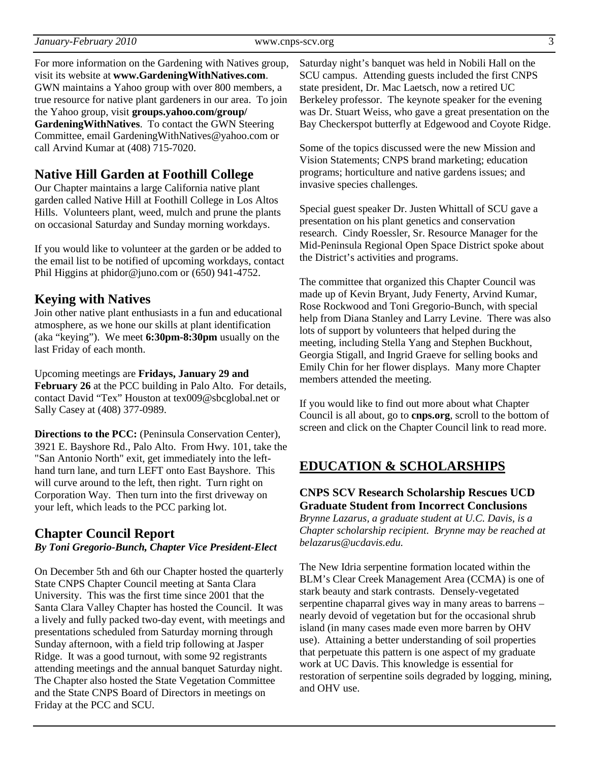| January-February 2010 |
|-----------------------|
|-----------------------|

For more information on the Gardening with Natives group, visit its website at **www.GardeningWithNatives.com**. GWN maintains a Yahoo group with over 800 members, a true resource for native plant gardeners in our area. To join the Yahoo group, visit **groups.yahoo.com/group/ GardeningWithNatives**. To contact the GWN Steering Committee, email GardeningWithNatives@yahoo.com or call Arvind Kumar at (408) 715-7020.

## **Native Hill Garden at Foothill College**

Our Chapter maintains a large California native plant garden called Native Hill at Foothill College in Los Altos Hills. Volunteers plant, weed, mulch and prune the plants on occasional Saturday and Sunday morning workdays.

If you would like to volunteer at the garden or be added to the email list to be notified of upcoming workdays, contact Phil Higgins at phidor@juno.com or (650) 941-4752.

## **Keying with Natives**

Join other native plant enthusiasts in a fun and educational atmosphere, as we hone our skills at plant identification (aka "keying"). We meet **6:30pm-8:30pm** usually on the last Friday of each month.

Upcoming meetings are **Fridays, January 29 and February 26** at the PCC building in Palo Alto. For details, contact David "Tex" Houston at tex009@sbcglobal.net or Sally Casey at (408) 377-0989.

**Directions to the PCC:** (Peninsula Conservation Center), 3921 E. Bayshore Rd., Palo Alto. From Hwy. 101, take the "San Antonio North" exit, get immediately into the lefthand turn lane, and turn LEFT onto East Bayshore. This will curve around to the left, then right. Turn right on Corporation Way. Then turn into the first driveway on your left, which leads to the PCC parking lot.

## **Chapter Council Report**

#### *By Toni Gregorio-Bunch, Chapter Vice President-Elect*

On December 5th and 6th our Chapter hosted the quarterly State CNPS Chapter Council meeting at Santa Clara University. This was the first time since 2001 that the Santa Clara Valley Chapter has hosted the Council. It was a lively and fully packed two-day event, with meetings and presentations scheduled from Saturday morning through Sunday afternoon, with a field trip following at Jasper Ridge. It was a good turnout, with some 92 registrants attending meetings and the annual banquet Saturday night. The Chapter also hosted the State Vegetation Committee and the State CNPS Board of Directors in meetings on Friday at the PCC and SCU.

Saturday night's banquet was held in Nobili Hall on the SCU campus. Attending guests included the first CNPS state president, Dr. Mac Laetsch, now a retired UC Berkeley professor. The keynote speaker for the evening was Dr. Stuart Weiss, who gave a great presentation on the Bay Checkerspot butterfly at Edgewood and Coyote Ridge.

Some of the topics discussed were the new Mission and Vision Statements; CNPS brand marketing; education programs; horticulture and native gardens issues; and invasive species challenges.

Special guest speaker Dr. Justen Whittall of SCU gave a presentation on his plant genetics and conservation research. Cindy Roessler, Sr. Resource Manager for the Mid-Peninsula Regional Open Space District spoke about the District's activities and programs.

The committee that organized this Chapter Council was made up of Kevin Bryant, Judy Fenerty, Arvind Kumar, Rose Rockwood and Toni Gregorio-Bunch, with special help from Diana Stanley and Larry Levine. There was also lots of support by volunteers that helped during the meeting, including Stella Yang and Stephen Buckhout, Georgia Stigall, and Ingrid Graeve for selling books and Emily Chin for her flower displays. Many more Chapter members attended the meeting.

If you would like to find out more about what Chapter Council is all about, go to **cnps.org**, scroll to the bottom of screen and click on the Chapter Council link to read more.

# **EDUCATION & SCHOLARSHIPS**

## **CNPS SCV Research Scholarship Rescues UCD Graduate Student from Incorrect Conclusions**

*Brynne Lazarus, a graduate student at U.C. Davis, is a Chapter scholarship recipient. Brynne may be reached at belazarus@ucdavis.edu.* 

The New Idria serpentine formation located within the BLM's Clear Creek Management Area (CCMA) is one of stark beauty and stark contrasts. Densely-vegetated serpentine chaparral gives way in many areas to barrens – nearly devoid of vegetation but for the occasional shrub island (in many cases made even more barren by OHV use). Attaining a better understanding of soil properties that perpetuate this pattern is one aspect of my graduate work at UC Davis. This knowledge is essential for restoration of serpentine soils degraded by logging, mining, and OHV use.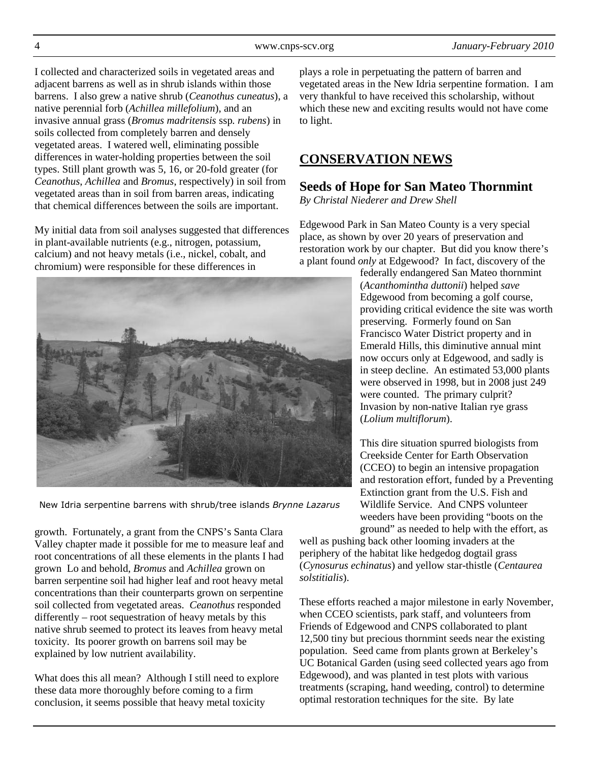I collected and characterized soils in vegetated areas and adjacent barrens as well as in shrub islands within those barrens. I also grew a native shrub (*Ceanothus cuneatus*), a native perennial forb (*Achillea millefolium*), and an invasive annual grass (*Bromus madritensis* ssp*. rubens*) in soils collected from completely barren and densely vegetated areas. I watered well, eliminating possible differences in water-holding properties between the soil types. Still plant growth was 5, 16, or 20-fold greater (for *Ceanothus*, *Achillea* and *Bromus*, respectively) in soil from vegetated areas than in soil from barren areas, indicating that chemical differences between the soils are important.

My initial data from soil analyses suggested that differences in plant-available nutrients (e.g., nitrogen, potassium, calcium) and not heavy metals (i.e., nickel, cobalt, and chromium) were responsible for these differences in



New Idria serpentine barrens with shrub/tree islands *Brynne Lazarus*

growth. Fortunately, a grant from the CNPS's Santa Clara Valley chapter made it possible for me to measure leaf and root concentrations of all these elements in the plants I had grown Lo and behold, *Bromus* and *Achillea* grown on barren serpentine soil had higher leaf and root heavy metal concentrations than their counterparts grown on serpentine soil collected from vegetated areas. *Ceanothus* responded differently – root sequestration of heavy metals by this native shrub seemed to protect its leaves from heavy metal toxicity. Its poorer growth on barrens soil may be explained by low nutrient availability.

What does this all mean? Although I still need to explore these data more thoroughly before coming to a firm conclusion, it seems possible that heavy metal toxicity

plays a role in perpetuating the pattern of barren and vegetated areas in the New Idria serpentine formation. I am very thankful to have received this scholarship, without which these new and exciting results would not have come to light.

# **CONSERVATION NEWS**

## **Seeds of Hope for San Mateo Thornmint**

*By Christal Niederer and Drew Shell* 

Edgewood Park in San Mateo County is a very special place, as shown by over 20 years of preservation and restoration work by our chapter. But did you know there's a plant found *only* at Edgewood? In fact, discovery of the

> federally endangered San Mateo thornmint (*Acanthomintha duttonii*) helped *save* Edgewood from becoming a golf course, providing critical evidence the site was worth preserving. Formerly found on San Francisco Water District property and in Emerald Hills, this diminutive annual mint now occurs only at Edgewood, and sadly is in steep decline. An estimated 53,000 plants were observed in 1998, but in 2008 just 249 were counted. The primary culprit? Invasion by non-native Italian rye grass (*Lolium multiflorum*).

> This dire situation spurred biologists from Creekside Center for Earth Observation (CCEO) to begin an intensive propagation and restoration effort, funded by a Preventing Extinction grant from the U.S. Fish and Wildlife Service. And CNPS volunteer weeders have been providing "boots on the ground" as needed to help with the effort, as

well as pushing back other looming invaders at the periphery of the habitat like hedgedog dogtail grass (*Cynosurus echinatus*) and yellow star-thistle (*Centaurea solstitialis*).

These efforts reached a major milestone in early November, when CCEO scientists, park staff, and volunteers from Friends of Edgewood and CNPS collaborated to plant 12,500 tiny but precious thornmint seeds near the existing population. Seed came from plants grown at Berkeley's UC Botanical Garden (using seed collected years ago from Edgewood), and was planted in test plots with various treatments (scraping, hand weeding, control) to determine optimal restoration techniques for the site. By late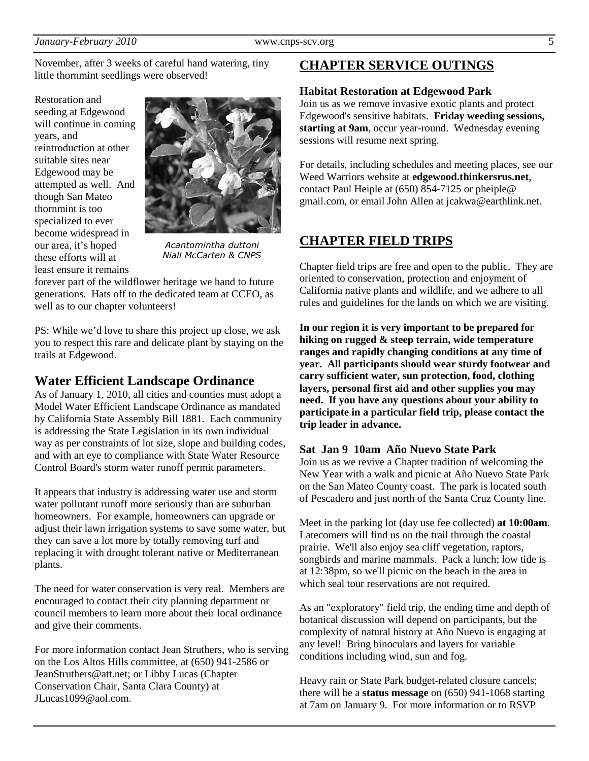November, after 3 weeks of careful hand watering, tiny little thornmint seedlings were observed!

Restoration and seeding at Edgewood will continue in coming years, and reintroduction at other suitable sites near Edgewood may be attempted as well. And though San Mateo thornmint is too specialized to ever become widespread in our area, it's hoped these efforts will at least ensure it remains



*Acantomintha duttoni Niall McCarten & CNPS*

forever part of the wildflower heritage we hand to future generations. Hats off to the dedicated team at CCEO, as well as to our chapter volunteers!

PS: While we'd love to share this project up close, we ask you to respect this rare and delicate plant by staying on the trails at Edgewood.

### **Water Efficient Landscape Ordinance**

As of January 1, 2010, all cities and counties must adopt a Model Water Efficient Landscape Ordinance as mandated by California State Assembly Bill 1881. Each community is addressing the State Legislation in its own individual way as per constraints of lot size, slope and building codes, and with an eye to compliance with State Water Resource Control Board's storm water runoff permit parameters.

It appears that industry is addressing water use and storm water pollutant runoff more seriously than are suburban homeowners. For example, homeowners can upgrade or adjust their lawn irrigation systems to save some water, but they can save a lot more by totally removing turf and replacing it with drought tolerant native or Mediterranean plants.

The need for water conservation is very real. Members are encouraged to contact their city planning department or council members to learn more about their local ordinance and give their comments.

For more information contact Jean Struthers, who is serving on the Los Altos Hills committee, at (650) 941-2586 or JeanStruthers@att.net; or Libby Lucas (Chapter Conservation Chair, Santa Clara County) at JLucas1099@aol.com.

## **CHAPTER SERVICE OUTINGS**

#### **Habitat Restoration at Edgewood Park**

Join us as we remove invasive exotic plants and protect Edgewood's sensitive habitats. **Friday weeding sessions, starting at 9am**, occur year-round. Wednesday evening sessions will resume next spring.

For details, including schedules and meeting places, see our Weed Warriors website at **edgewood.thinkersrus.net**, contact Paul Heiple at (650) 854-7125 or pheiple@ gmail.com, or email John Allen at jcakwa@earthlink.net.

## **CHAPTER FIELD TRIPS**

Chapter field trips are free and open to the public. They are oriented to conservation, protection and enjoyment of California native plants and wildlife, and we adhere to all rules and guidelines for the lands on which we are visiting.

**In our region it is very important to be prepared for hiking on rugged & steep terrain, wide temperature ranges and rapidly changing conditions at any time of year. All participants should wear sturdy footwear and carry sufficient water, sun protection, food, clothing layers, personal first aid and other supplies you may need. If you have any questions about your ability to participate in a particular field trip, please contact the trip leader in advance.** 

#### **Sat Jan 9 10am Año Nuevo State Park**

Join us as we revive a Chapter tradition of welcoming the New Year with a walk and picnic at Año Nuevo State Park on the San Mateo County coast. The park is located south of Pescadero and just north of the Santa Cruz County line.

Meet in the parking lot (day use fee collected) **at 10:00am**. Latecomers will find us on the trail through the coastal prairie. We'll also enjoy sea cliff vegetation, raptors, songbirds and marine mammals. Pack a lunch; low tide is at 12:38pm, so we'll picnic on the beach in the area in which seal tour reservations are not required.

As an "exploratory" field trip, the ending time and depth of botanical discussion will depend on participants, but the complexity of natural history at Año Nuevo is engaging at any level! Bring binoculars and layers for variable conditions including wind, sun and fog.

Heavy rain or State Park budget-related closure cancels; there will be a **status message** on (650) 941-1068 starting at 7am on January 9. For more information or to RSVP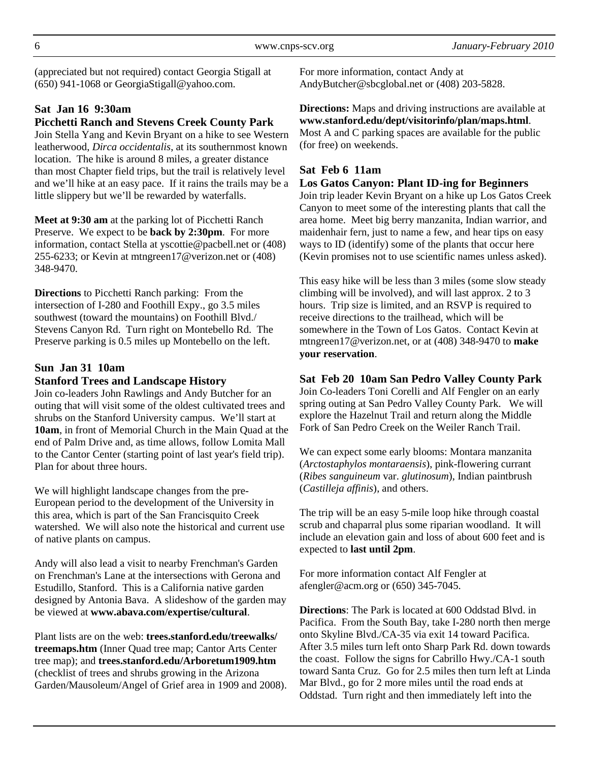(appreciated but not required) contact Georgia Stigall at (650) 941-1068 or GeorgiaStigall@yahoo.com.

# **Sat Jan 16 9:30am**

#### **Picchetti Ranch and Stevens Creek County Park**

Join Stella Yang and Kevin Bryant on a hike to see Western leatherwood, *Dirca occidentalis*, at its southernmost known location. The hike is around 8 miles, a greater distance than most Chapter field trips, but the trail is relatively level and we'll hike at an easy pace. If it rains the trails may be a little slippery but we'll be rewarded by waterfalls.

**Meet at 9:30 am** at the parking lot of Picchetti Ranch Preserve. We expect to be **back by 2:30pm**. For more information, contact Stella at yscottie@pacbell.net or (408) 255-6233; or Kevin at mtngreen17@verizon.net or (408) 348-9470.

**Directions** to Picchetti Ranch parking: From the intersection of I-280 and Foothill Expy., go 3.5 miles southwest (toward the mountains) on Foothill Blvd./ Stevens Canyon Rd. Turn right on Montebello Rd. The Preserve parking is 0.5 miles up Montebello on the left.

## **Sun Jan 31 10am**

#### **Stanford Trees and Landscape History**

Join co-leaders John Rawlings and Andy Butcher for an outing that will visit some of the oldest cultivated trees and shrubs on the Stanford University campus. We'll start at **10am**, in front of Memorial Church in the Main Quad at the end of Palm Drive and, as time allows, follow Lomita Mall to the Cantor Center (starting point of last year's field trip). Plan for about three hours.

We will highlight landscape changes from the pre-European period to the development of the University in this area, which is part of the San Francisquito Creek watershed. We will also note the historical and current use of native plants on campus.

Andy will also lead a visit to nearby Frenchman's Garden on Frenchman's Lane at the intersections with Gerona and Estudillo, Stanford. This is a California native garden designed by Antonia Bava. A slideshow of the garden may be viewed at **www.abava.com/expertise/cultural**.

Plant lists are on the web: **trees.stanford.edu/treewalks/ treemaps.htm** (Inner Quad tree map; Cantor Arts Center tree map); and **trees.stanford.edu/Arboretum1909.htm** (checklist of trees and shrubs growing in the Arizona Garden/Mausoleum/Angel of Grief area in 1909 and 2008). For more information, contact Andy at AndyButcher@sbcglobal.net or (408) 203-5828.

**Directions:** Maps and driving instructions are available at **www.stanford.edu/dept/visitorinfo/plan/maps.html**. Most A and C parking spaces are available for the public (for free) on weekends.

#### **Sat Feb 6 11am**

#### **Los Gatos Canyon: Plant ID-ing for Beginners**

Join trip leader Kevin Bryant on a hike up Los Gatos Creek Canyon to meet some of the interesting plants that call the area home. Meet big berry manzanita, Indian warrior, and maidenhair fern, just to name a few, and hear tips on easy ways to ID (identify) some of the plants that occur here (Kevin promises not to use scientific names unless asked).

This easy hike will be less than 3 miles (some slow steady climbing will be involved), and will last approx. 2 to 3 hours. Trip size is limited, and an RSVP is required to receive directions to the trailhead, which will be somewhere in the Town of Los Gatos. Contact Kevin at mtngreen17@verizon.net, or at (408) 348-9470 to **make your reservation**.

**Sat Feb 20 10am San Pedro Valley County Park**  Join Co-leaders Toni Corelli and Alf Fengler on an early spring outing at San Pedro Valley County Park. We will explore the Hazelnut Trail and return along the Middle Fork of San Pedro Creek on the Weiler Ranch Trail.

We can expect some early blooms: Montara manzanita (*Arctostaphylos montaraensis*), pink-flowering currant (*Ribes sanguineum* var. *glutinosum*), Indian paintbrush (*Castilleja affinis*), and others.

The trip will be an easy 5-mile loop hike through coastal scrub and chaparral plus some riparian woodland. It will include an elevation gain and loss of about 600 feet and is expected to **last until 2pm**.

For more information contact Alf Fengler at afengler@acm.org or (650) 345-7045.

**Directions**: The Park is located at 600 Oddstad Blvd. in Pacifica. From the South Bay, take I-280 north then merge onto Skyline Blvd./CA-35 via exit 14 toward Pacifica. After 3.5 miles turn left onto Sharp Park Rd. down towards the coast. Follow the signs for Cabrillo Hwy./CA-1 south toward Santa Cruz. Go for 2.5 miles then turn left at Linda Mar Blvd., go for 2 more miles until the road ends at Oddstad. Turn right and then immediately left into the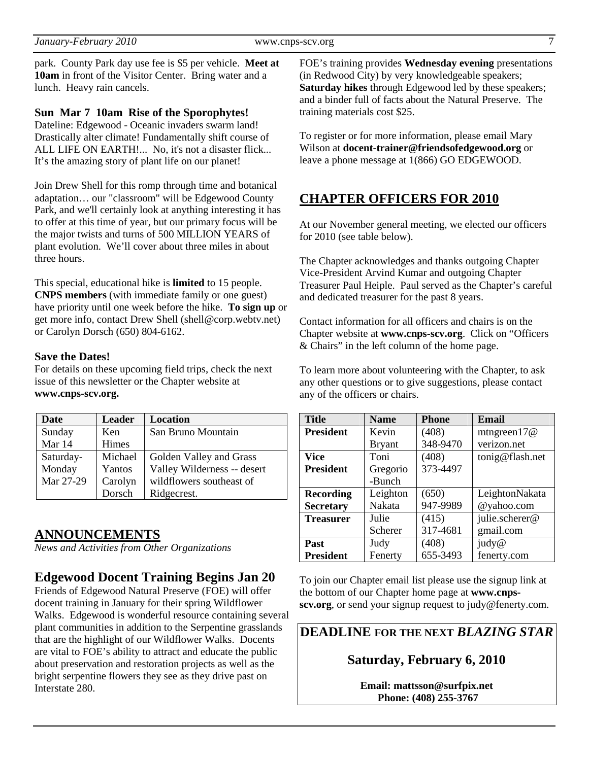park. County Park day use fee is \$5 per vehicle. **Meet at 10am** in front of the Visitor Center. Bring water and a lunch. Heavy rain cancels.

#### **Sun Mar 7 10am Rise of the Sporophytes!**

Dateline: Edgewood - Oceanic invaders swarm land! Drastically alter climate! Fundamentally shift course of ALL LIFE ON EARTH!... No, it's not a disaster flick... It's the amazing story of plant life on our planet!

Join Drew Shell for this romp through time and botanical adaptation… our "classroom" will be Edgewood County Park, and we'll certainly look at anything interesting it has to offer at this time of year, but our primary focus will be the major twists and turns of 500 MILLION YEARS of plant evolution. We'll cover about three miles in about three hours.

This special, educational hike is **limited** to 15 people. **CNPS members** (with immediate family or one guest) have priority until one week before the hike. **To sign up** or get more info, contact Drew Shell (shell@corp.webtv.net) or Carolyn Dorsch (650) 804-6162.

#### **Save the Dates!**

For details on these upcoming field trips, check the next issue of this newsletter or the Chapter website at **www.cnps-scv.org.**

| Date      | <b>Leader</b> | <b>Location</b>             |  |
|-----------|---------------|-----------------------------|--|
| Sunday    | Ken           | San Bruno Mountain          |  |
| Mar 14    | Himes         |                             |  |
| Saturday- | Michael       | Golden Valley and Grass     |  |
| Monday    | Yantos        | Valley Wilderness -- desert |  |
| Mar 27-29 | Carolyn       | wildflowers southeast of    |  |
|           | Dorsch        | Ridgecrest.                 |  |

### **ANNOUNCEMENTS**

*News and Activities from Other Organizations*

### **Edgewood Docent Training Begins Jan 20**

Friends of Edgewood Natural Preserve (FOE) will offer docent training in January for their spring Wildflower Walks. Edgewood is wonderful resource containing several plant communities in addition to the Serpentine grasslands that are the highlight of our Wildflower Walks. Docents are vital to FOE's ability to attract and educate the public about preservation and restoration projects as well as the bright serpentine flowers they see as they drive past on Interstate 280.

FOE's training provides **Wednesday evening** presentations (in Redwood City) by very knowledgeable speakers; **Saturday hikes** through Edgewood led by these speakers; and a binder full of facts about the Natural Preserve. The training materials cost \$25.

To register or for more information, please email Mary Wilson at **docent-trainer@friendsofedgewood.org** or leave a phone message at 1(866) GO EDGEWOOD.

# **CHAPTER OFFICERS FOR 2010**

At our November general meeting, we elected our officers for 2010 (see table below).

The Chapter acknowledges and thanks outgoing Chapter Vice-President Arvind Kumar and outgoing Chapter Treasurer Paul Heiple. Paul served as the Chapter's careful and dedicated treasurer for the past 8 years.

Contact information for all officers and chairs is on the Chapter website at **www.cnps-scv.org**. Click on "Officers & Chairs" in the left column of the home page.

To learn more about volunteering with the Chapter, to ask any other questions or to give suggestions, please contact any of the officers or chairs.

| <b>Title</b>     | <b>Name</b>   | <b>Phone</b> | Email           |
|------------------|---------------|--------------|-----------------|
| <b>President</b> | Kevin         | (408)        | mtngreen $17@$  |
|                  | <b>Bryant</b> | 348-9470     | verizon.net     |
| <b>Vice</b>      | Toni          | (408)        | tonig@flash.net |
| <b>President</b> | Gregorio      | 373-4497     |                 |
|                  | -Bunch        |              |                 |
| <b>Recording</b> | Leighton      | (650)        | LeightonNakata  |
| <b>Secretary</b> | Nakata        | 947-9989     | @yahoo.com      |
| <b>Treasurer</b> | Julie         | (415)        | julie.scherer@  |
|                  | Scherer       | 317-4681     | gmail.com       |
| Past             | Judy          | (408)        | judy@           |
| <b>President</b> | Fenerty       | 655-3493     | fenerty.com     |

To join our Chapter email list please use the signup link at the bottom of our Chapter home page at **www.cnpsscv.org**, or send your signup request to judy@fenerty.com.

# **DEADLINE FOR THE NEXT** *BLAZING STAR*

**Saturday, February 6, 2010** 

**Email: mattsson@surfpix.net Phone: (408) 255-3767**